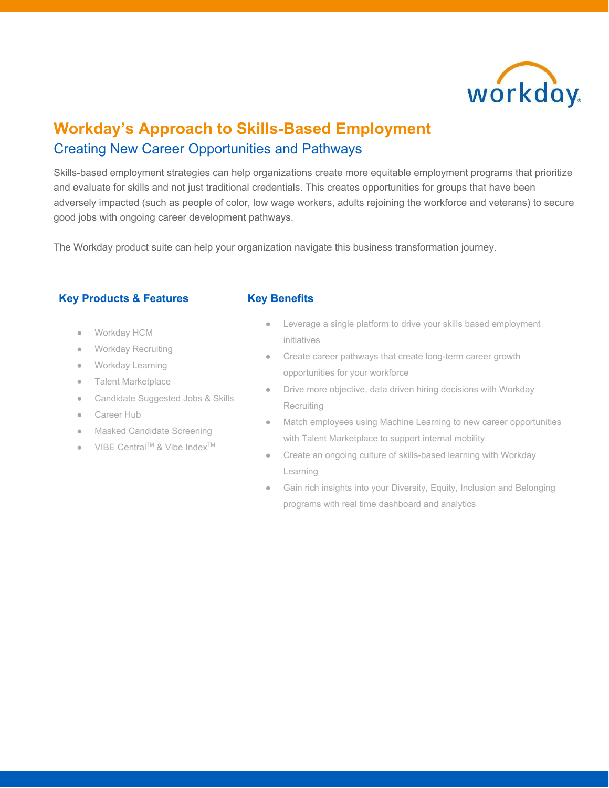

# **Workday's Approach to Skills-Based Employment** Creating New Career Opportunities and Pathways

Skills-based employment strategies can help organizations create more equitable employment programs that prioritize and evaluate for skills and not just traditional credentials. This creates opportunities for groups that have been adversely impacted (such as people of color, low wage workers, adults rejoining the workforce and veterans) to secure good jobs with ongoing career development pathways.

The Workday product suite can help your organization navigate this business transformation journey.

# **Key Products & Features**

- Workday HCM
- Workday Recruiting
- Workday Learning
- Talent Marketplace
- Candidate Suggested Jobs & Skills
- Career Hub
- **Masked Candidate Screening**
- $\bullet$  VIBE Central<sup>TM</sup> & Vibe Index<sup>TM</sup>

# **Key Benefits**

- Leverage a single platform to drive your skills based employment initiatives
- Create career pathways that create long-term career growth opportunities for your workforce
- Drive more objective, data driven hiring decisions with Workday Recruiting
- Match employees using Machine Learning to new career opportunities with Talent Marketplace to support internal mobility
- Create an ongoing culture of skills-based learning with Workday Learning
- Gain rich insights into your Diversity, Equity, Inclusion and Belonging programs with real time dashboard and analytics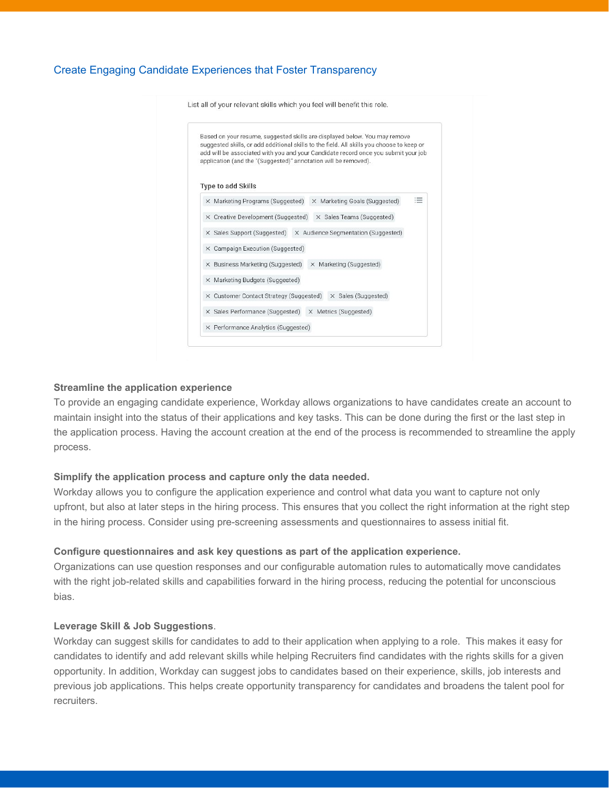# Create Engaging Candidate Experiences that Foster Transparency

List all of your relevant skills which you feel will benefit this role. Based on your resume, suggested skills are displayed below. You may remove suggested skills, or add additional skills to the field. All skills you choose to keep or add will be associated with you and your Candidate record once you submit your job application (and the "(Suggested)" annotation will be removed). Type to add Skills  $\equiv$ X Marketing Programs (Suggested) X Marketing Goals (Suggested) X Creative Development (Suggested) X Sales Teams (Suggested) X Sales Support (Suggested) X Audience Segmentation (Suggested) X Campaign Execution (Suggested) X Business Marketing (Suggested) X Marketing (Suggested) X Marketing Budgets (Suggested) X Customer Contact Strategy (Suggested) X Sales (Suggested) X Sales Performance (Suggested) X Metrics (Suggested) X Performance Analytics (Suggested)

#### **Streamline the application experience**

To provide an engaging candidate experience, Workday allows organizations to have candidates create an account to maintain insight into the status of their applications and key tasks. This can be done during the first or the last step in the application process. Having the account creation at the end of the process is recommended to streamline the apply process.

#### **Simplify the application process and capture only the data needed.**

Workday allows you to configure the application experience and control what data you want to capture not only upfront, but also at later steps in the hiring process. This ensures that you collect the right information at the right step in the hiring process. Consider using pre-screening assessments and questionnaires to assess initial fit.

#### **Configure questionnaires and ask key questions as part of the application experience.**

Organizations can use question responses and our configurable automation rules to automatically move candidates with the right job-related skills and capabilities forward in the hiring process, reducing the potential for unconscious bias.

## **Leverage Skill & Job Suggestions**.

Workday can suggest skills for candidates to add to their application when applying to a role. This makes it easy for candidates to identify and add relevant skills while helping Recruiters find candidates with the rights skills for a given opportunity. In addition, Workday can suggest jobs to candidates based on their experience, skills, job interests and previous job applications. This helps create opportunity transparency for candidates and broadens the talent pool for recruiters.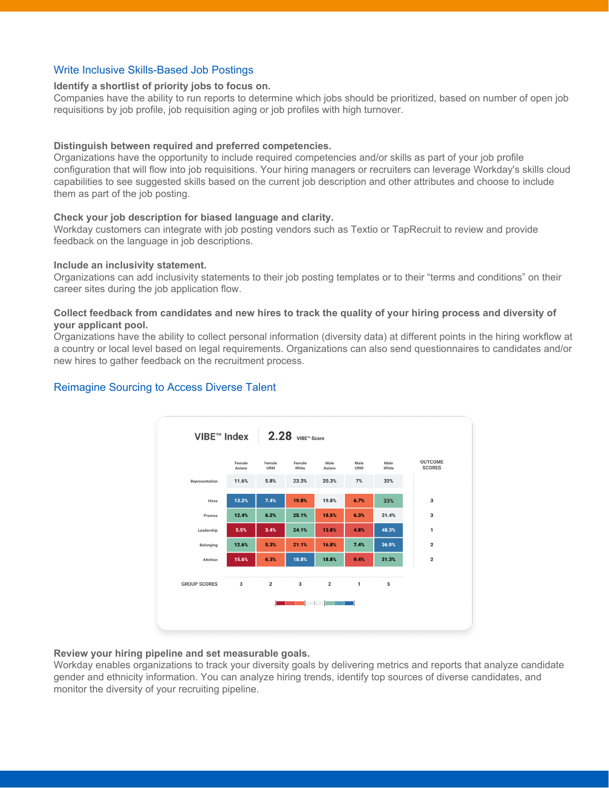# Write Inclusive Skills-Based Job Postings

#### **Identify a shortlist of priority jobs to focus on.**

Companies have the ability to run reports to determine which jobs should be prioritized, based on number of open job requisitions by job profile, job requisition aging or job profiles with high turnover.

## **Distinguish between required and preferred competencies.**

Organizations have the opportunity to include required competencies and/or skills as part of your job profile configuration that will flow into job requisitions. Your hiring managers or recruiters can leverage Workday's skills cloud capabilities to see suggested skills based on the current job description and other attributes and choose to include them as part of the job posting.

## **Check your job description for biased language and clarity.**

Workday customers can integrate with job posting vendors such as Textio or TapRecruit to review and provide feedback on the language in job descriptions.

#### **Include an inclusivity statement.**

Organizations can add inclusivity statements to their job posting templates or to their "terms and conditions" on their career sites during the job application flow.

## Collect feedback from candidates and new hires to track the quality of your hiring process and diversity of **your applicant pool.**

Organizations have the ability to collect personal information (diversity data) at different points in the hiring workflow at a country or local level based on legal requirements. Organizations can also send questionnaires to candidates and/or new hires to gather feedback on the recruitment process.



# Reimagine Sourcing to Access Diverse Talent

## **Review your hiring pipeline and set measurable goals.**

Workday enables organizations to track your diversity goals by delivering metrics and reports that analyze candidate gender and ethnicity information. You can analyze hiring trends, identify top sources of diverse candidates, and monitor the diversity of your recruiting pipeline.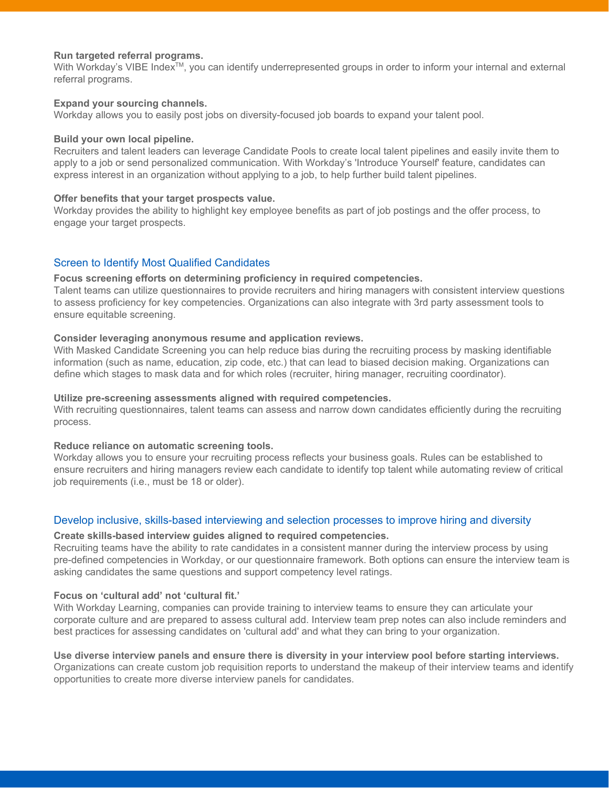## **Run targeted referral programs.**

With Workday's VIBE Index™, you can identify underrepresented groups in order to inform your internal and external referral programs.

## **Expand your sourcing channels.**

Workday allows you to easily post jobs on diversity-focused job boards to expand your talent pool.

# **Build your own local pipeline.**

Recruiters and talent leaders can leverage Candidate Pools to create local talent pipelines and easily invite them to apply to a job or send personalized communication. With Workday's 'Introduce Yourself' feature, candidates can express interest in an organization without applying to a job, to help further build talent pipelines.

# **Offer benefits that your target prospects value.**

Workday provides the ability to highlight key employee benefits as part of job postings and the offer process, to engage your target prospects.

# Screen to Identify Most Qualified Candidates

# **Focus screening efforts on determining proficiency in required competencies.**

Talent teams can utilize questionnaires to provide recruiters and hiring managers with consistent interview questions to assess proficiency for key competencies. Organizations can also integrate with 3rd party assessment tools to ensure equitable screening.

# **Consider leveraging anonymous resume and application reviews.**

With Masked Candidate Screening you can help reduce bias during the recruiting process by masking identifiable information (such as name, education, zip code, etc.) that can lead to biased decision making. Organizations can define which stages to mask data and for which roles (recruiter, hiring manager, recruiting coordinator).

## **Utilize pre-screening assessments aligned with required competencies.**

With recruiting questionnaires, talent teams can assess and narrow down candidates efficiently during the recruiting process.

## **Reduce reliance on automatic screening tools.**

Workday allows you to ensure your recruiting process reflects your business goals. Rules can be established to ensure recruiters and hiring managers review each candidate to identify top talent while automating review of critical job requirements (i.e., must be 18 or older).

# Develop inclusive, skills-based interviewing and selection processes to improve hiring and diversity

## **Create skills-based interview guides aligned to required competencies.**

Recruiting teams have the ability to rate candidates in a consistent manner during the interview process by using pre-defined competencies in Workday, or our questionnaire framework. Both options can ensure the interview team is asking candidates the same questions and support competency level ratings.

# **Focus on 'cultural add' not 'cultural fit.'**

With Workday Learning, companies can provide training to interview teams to ensure they can articulate your corporate culture and are prepared to assess cultural add. Interview team prep notes can also include reminders and best practices for assessing candidates on 'cultural add' and what they can bring to your organization.

## **Use diverse interview panels and ensure there is diversity in your interview pool before starting interviews.**

Organizations can create custom job requisition reports to understand the makeup of their interview teams and identify opportunities to create more diverse interview panels for candidates.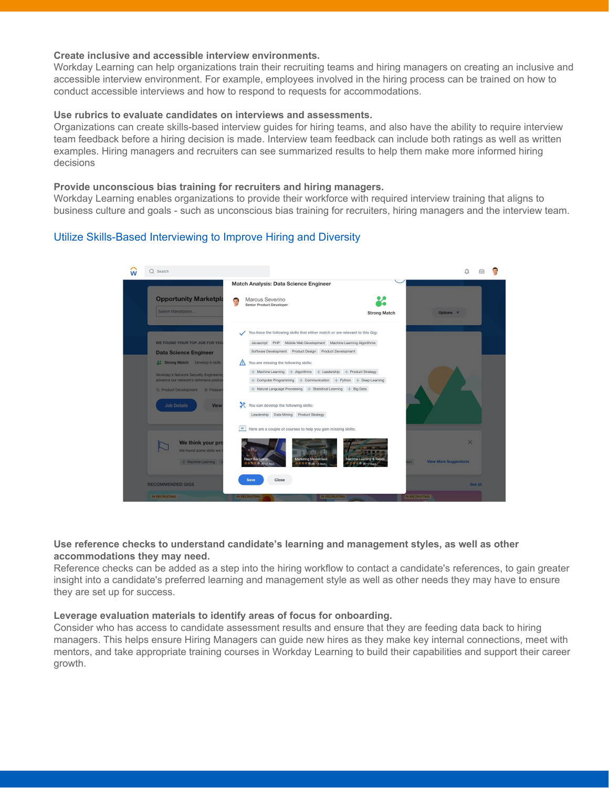## **Create inclusive and accessible interview environments.**

Workday Learning can help organizations train their recruiting teams and hiring managers on creating an inclusive and accessible interview environment. For example, employees involved in the hiring process can be trained on how to conduct accessible interviews and how to respond to requests for accommodations.

# **Use rubrics to evaluate candidates on interviews and assessments.**

Organizations can create skills-based interview guides for hiring teams, and also have the ability to require interview team feedback before a hiring decision is made. Interview team feedback can include both ratings as well as written examples. Hiring managers and recruiters can see summarized results to help them make more informed hiring decisions

# **Provide unconscious bias training for recruiters and hiring managers.**

Workday Learning enables organizations to provide their workforce with required interview training that aligns to business culture and goals - such as unconscious bias training for recruiters, hiring managers and the interview team.

# Utilize Skills-Based Interviewing to Improve Hiring and Diversity

| Match Analysis: Data Science Engineer                                                                                                                                                                                                                                                                                                                   |                                          |         |  |
|---------------------------------------------------------------------------------------------------------------------------------------------------------------------------------------------------------------------------------------------------------------------------------------------------------------------------------------------------------|------------------------------------------|---------|--|
| <b>Opportunity Marketpla</b><br>Marcus Severino<br>Ø<br><b>Senior Product Developer</b><br>Search Marketplace<br><b>Strong Match</b>                                                                                                                                                                                                                    | Options <b>V</b>                         |         |  |
| You have the following skills that either match or are relevant to this Gig:<br>WE FOUND YOUR TOP JOB FOR YOU<br>Javascript PHP Mobile Web Development Machine Learning Algorithms<br>Software Development Product Design Product Development<br><b>Data Science Engineer</b><br>Strong Match Develop 6 skills<br>You are missing the following skills: |                                          |         |  |
| + Machine Learning + Algorithms + Leadership + Product Strategy<br>Workday's Network Security Engineerin<br>advance our network's defensive postur<br>Computer Programming + Communication + Python + Deep Learning<br>+ Natural Language Processing + Statistical Learning + Big Data                                                                  |                                          |         |  |
| X<br>You can develop the following skills:<br><b>Job Details</b><br><b>View</b><br>Leadership Data Mining Product Strategy<br>R<br>Here are a couple of courses to help you gain missing skills:                                                                                                                                                        |                                          |         |  |
| We think your pro<br>We found some skills we<br><b>Marketing Masterclass</b><br>React Bootcamp<br>Machine Learning & Trends<br>+ Machine Learning<br>on<br>☆☆☆☆☆ (0) - 2 days<br>☆☆☆☆☆ (6) - 2 days<br>女女女 160 · 2 days                                                                                                                                 | $\times$<br><b>View More Suggestions</b> |         |  |
| Close<br><b>Save</b><br><b>RECOMMENDED GIGS</b><br><b>IN RECRUITING</b><br><b>IN RECRUITING</b><br><b>IN RECRUITING</b>                                                                                                                                                                                                                                 |                                          | See all |  |

# **Use reference checks to understand candidate's learning and management styles, as well as other accommodations they may need.**

Reference checks can be added as a step into the hiring workflow to contact a candidate's references, to gain greater insight into a candidate's preferred learning and management style as well as other needs they may have to ensure they are set up for success.

## **Leverage evaluation materials to identify areas of focus for onboarding.**

Consider who has access to candidate assessment results and ensure that they are feeding data back to hiring managers. This helps ensure Hiring Managers can guide new hires as they make key internal connections, meet with mentors, and take appropriate training courses in Workday Learning to build their capabilities and support their career growth.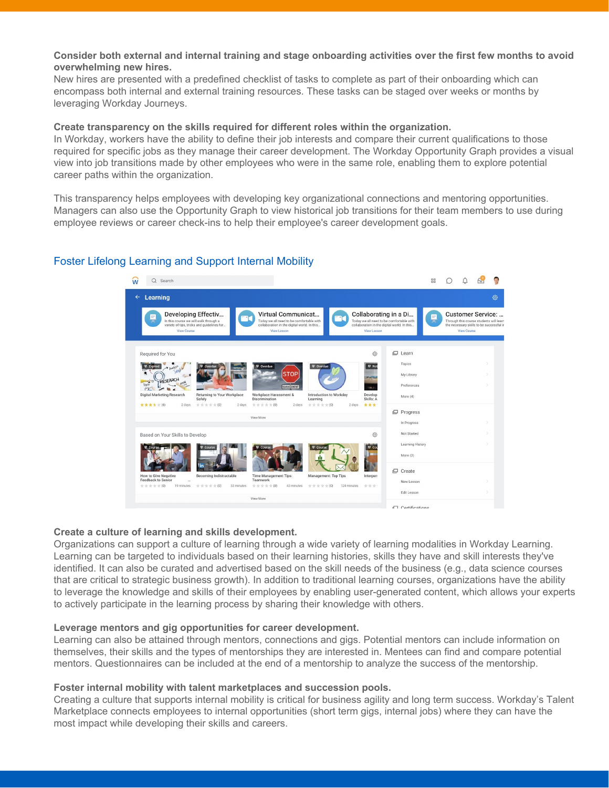# Consider both external and internal training and stage onboarding activities over the first few months to avoid **overwhelming new hires.**

New hires are presented with a predefined checklist of tasks to complete as part of their onboarding which can encompass both internal and external training resources. These tasks can be staged over weeks or months by leveraging Workday Journeys.

## **Create transparency on the skills required for different roles within the organization.**

In Workday, workers have the ability to define their job interests and compare their current qualifications to those required for specific jobs as they manage their career development. The Workday Opportunity Graph provides a visual view into job transitions made by other employees who were in the same role, enabling them to explore potential career paths within the organization.

This transparency helps employees with developing key organizational connections and mentoring opportunities. Managers can also use the Opportunity Graph to view historical job transitions for their team members to use during employee reviews or career check-ins to help their employee's career development goals.

# Foster Lifelong Learning and Support Internal Mobility



## **Create a culture of learning and skills development.**

Organizations can support a culture of learning through a wide variety of learning modalities in Workday Learning. Learning can be targeted to individuals based on their learning histories, skills they have and skill interests they've identified. It can also be curated and advertised based on the skill needs of the business (e.g., data science courses that are critical to strategic business growth). In addition to traditional learning courses, organizations have the ability to leverage the knowledge and skills of their employees by enabling user-generated content, which allows your experts to actively participate in the learning process by sharing their knowledge with others.

## **Leverage mentors and gig opportunities for career development.**

Learning can also be attained through mentors, connections and gigs. Potential mentors can include information on themselves, their skills and the types of mentorships they are interested in. Mentees can find and compare potential mentors. Questionnaires can be included at the end of a mentorship to analyze the success of the mentorship.

## **Foster internal mobility with talent marketplaces and succession pools.**

Creating a culture that supports internal mobility is critical for business agility and long term success. Workday's Talent Marketplace connects employees to internal opportunities (short term gigs, internal jobs) where they can have the most impact while developing their skills and careers.